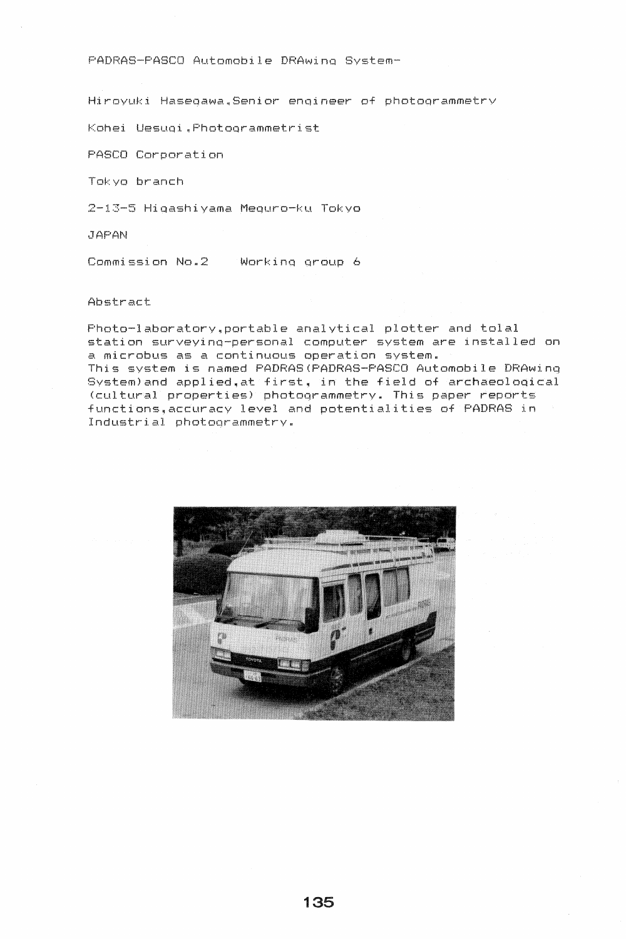PADRAS-PASCO Automobile DRAwino System-

Hiroyuki Hasegawa. Senior engineer of photogrammetry

Kohei Uesuoi~Photoorammetrist

PASCO Corporation

Tokyo branch

2-13-5 Hiqashivama Mequro-ku Tokyo

JAPAN

Commission No.2 Workinq qroup 6

Abstract

Photo-laboratory, portable analytical plotter and tolal station surveyinq-personal computer system are installed on a microbus as a continuous operation system. This system is named PADRAS(PADRAS-PASCO Automobile DRAwinq System)and applied, at first, in the field of archaeological <cultural properties) photoqrammetry. This paper reports functions, accuracy level and potentialities of PADRAS in Industrial photoqrammetry.

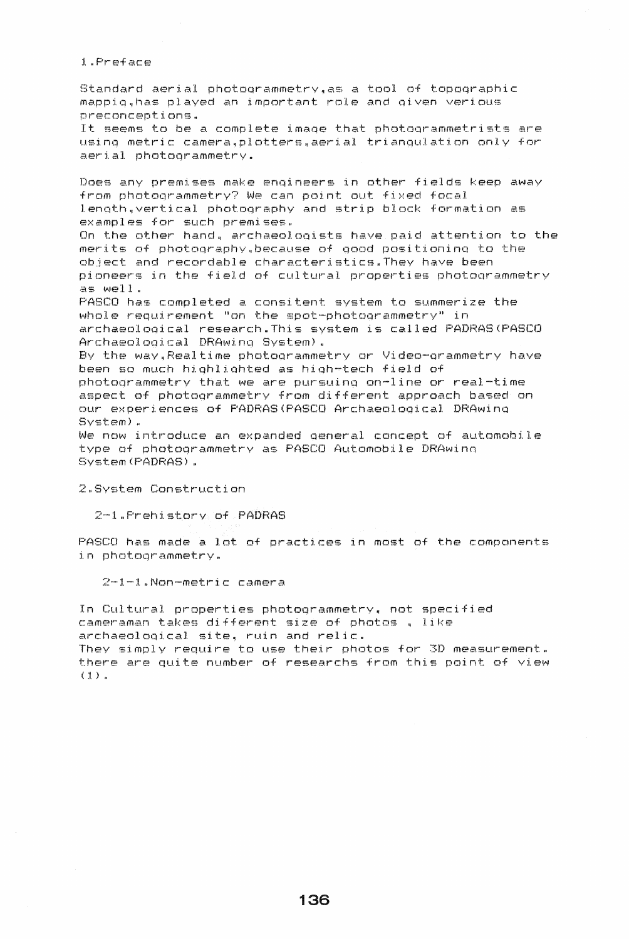1. Preface

Standard aerial photogrammetry, as a tool of topographic mappig, has played an important role and given verious preconceptions. It seems to be a complete image that photogrammetrists are using metric camera.plotters.aerial triangulation only for aerial photogrammetry.

Does any premises make engineers in other fields keep away from photogrammetry? We can point out fixed focal length, vertical photography and strip block formation as examples for such premises. On the other hand, archaeologists have paid attention to the merits of photography.because of good positioning to the object and recordable characteristics. They have been pioneers in the field of cultural properties photogrammetry as well. PASCO has completed a consitent system to summerize the whole requirement "on the spot-photogrammetry" in archaeological research. This system is called PADRAS (PASCO

Archaeological DRAwing System). By the way, Realtime photogrammetry or Video-grammetry have been so much highlighted as high-tech field of

photogrammetry that we are pursuing on-line or real-time aspect of photogrammetry from different approach based on our experiences of PADRAS(PASCO Archaeological DRAwing  $Sventem$ ).

We now introduce an expanded general concept of automobile type of photogrammetry as PASCO Automobile DRAwing System (PADRAS).

2.System Construction

2-1.Prehistory of PADRAS

PASCO has made a lot of practices in most of the components in photogrammetry.

 $2-1-1$ .Non-metric camera

In Cultural properties photogrammetry, not specified cameraman takes different size of photos, like archaeological site, ruin and relic. They simply require to use their photos for 3D measurement. there are quite number of researchs from this point of view  $(1)$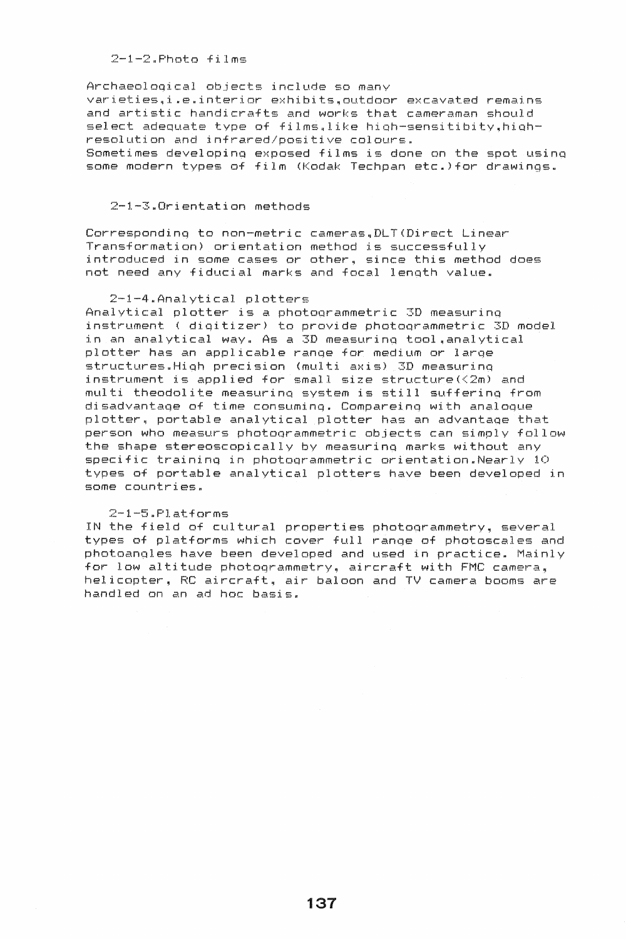## $2-1-2.$ Photo films

Archaeoloqical objects include so many varieties, i.e. interior exhibits, outdoor excavated remains and artistic handicrafts and works that cameraman should select adequate type of films.like high-sensitibity.highresolution and infrared/positive colours. Sometimes developinq exposed films is done on the spot usinQ some modern types of film (Kodak Techpan etc.)for drawings.

## 2-1-3~Orientation methods

Corresponding to non-metric cameras. DLT(Direct Linear Transformation) orientation method is successfully introduced in some cases or other, since this method does not need any fiducial marks and focal lenqth value.

## $2-1-4$ . Analytical plotters

Analytical plotter is a photoqrammetric 3D measurinq instrument ( diqitizer) to provide photoorammetric 3D model in an analytical way. As a 3D measurinq tool~analytical plotter has an applicable ranqe for medium or larqe structures. High precision (multi axis) 3D measuring instrument is applied for small size structure $(\langle 2m \rangle )$  and multi theodolite measurinq system is still sufferinq from disadvantaqe of time consuminq. Compareino with analooue plotter. portable analytical plotter has an advantaqe that person who measurs photoorammetric objects can simply follow the shape stereoscopically by measurinq marks without any specific traininq in photoqrammetric orientation.Nearly 10 types of portable analytical plotters have been developed in some countries.

## $2-1-5$ . $Platforms$

IN the field of cultural properties photoorammetry, several types of platforms which cover full ranqe of photoscales and photoanqles have been developed and used in practice. Mainly for low altitude photoqrammetry, aircraft with FMC camera, helicopter, RC aircraft, air baloon and TV camera booms are handled on an ad hoc basis.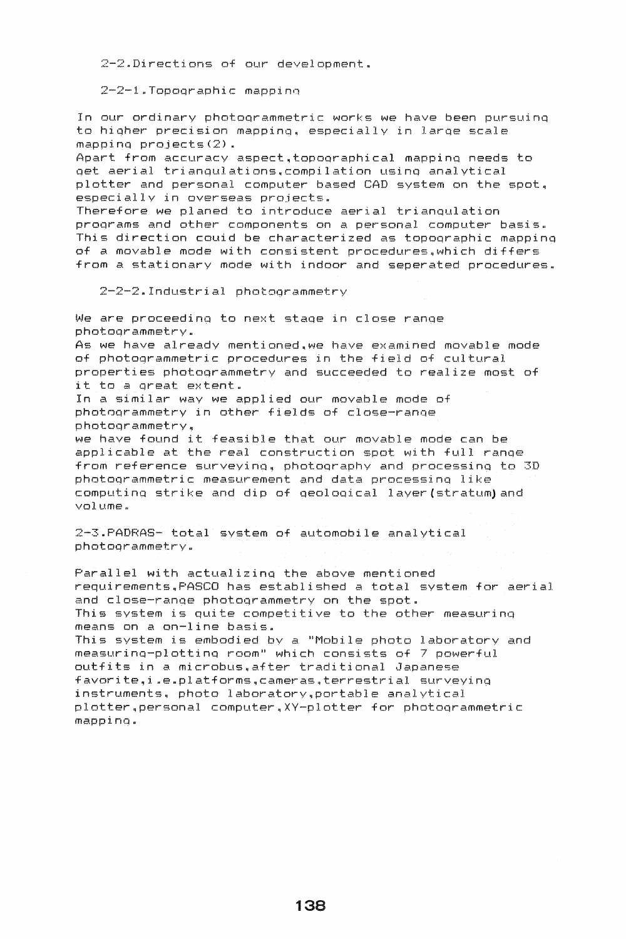$2-2$ . Directions of our development.

 $2-2-1$ . Topoqraphic mapping

In our ordinary photoqrammetric works we have been pursuinq to higher precision mappinq~ especially in larqe scale mappinq projects(2).

Apart from accuracy aspect~topoqraphical mappinq needs to get aerial trianqulationsqcompilation usinq analytical plotter and personal computer based CAD system on the spot <sup>q</sup> especially in overseas projects.

Therefore we planed to introduce aerial trianqulation programs and other components on a personal computer basis. This direction couid be characterized as topoqraphic mapping of a movable mode with consistent procedures.which differs from a stationary mode with indoor and seperated procedures.

 $2-2-2.$  Industrial photogrammetry

We are proceeding to next stage in close range photoqrammetry. As we have already mentioned.we have examined movable mode of photoqrammetric procedures in the field of cultural properties photoqrammetry and succeeded to realize most of it to a Qreat extent. In a similar way we applied our movable mode of phot8grammetry in other fields of close-ranqe photoqrammetry, we have found it feasible that our movable mode can be applicable at the real construction spot with full ranqe from reference surveying, photography and processing to 3D photoqrammetric measurement and data processing like computing strike and dip of geological layer(stratum)and volume.

2-3. PADRAS- total system of automobile analytical photoqrammetry.

Parallel with actualizing the above mentioned requirementsqPASCO has established a total system for aerial and close-range photogrammetry on the spot. This system is quite competitive to the other measurinq means on a on-line basis.

This system is embodied bv a "Mobile photo laboratory and measurinQ-plottinQ room" which consists of 7 powerful outfits in a microbus, after traditional Japanese favorite,i.e.platforms.cameras.terrestrial surveying instruments. photo laboratorv,portable analytical plotterqpersonal computer~XY-plotter for photoQrammetric mappinqp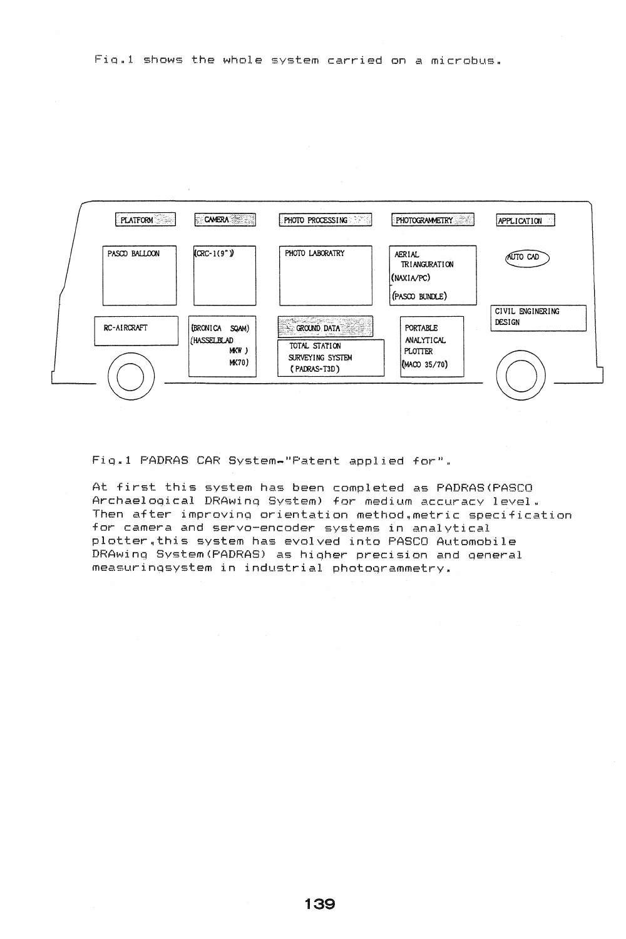

Fig.1 PADRAS CAR System-"Patent applied for".

At first this system has been completed as PADRAS (PASCO Archaelogical DRAwing System) for medium accuracy level. Then after improving orientation method.metric specification for camera and servo-encoder systems in analytical plotter.this system has evolved into PASCO Automobile DRAwing System(PADRAS) as higher precision and general measuringsystem in industrial photogrammetry.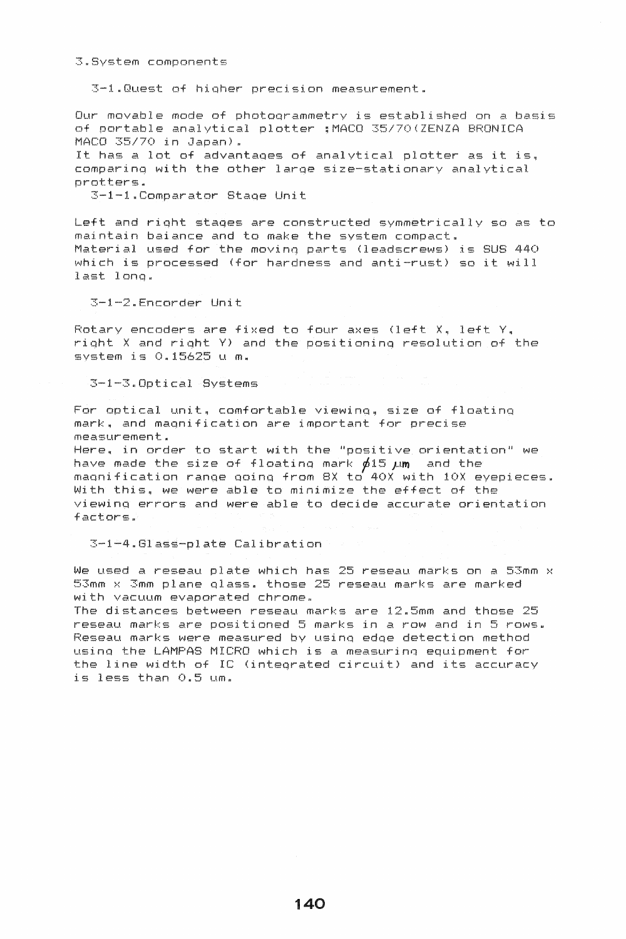3-1.Quest of higher precision measurement.

Our movable mode of photogrammetry is established on a basis of portable analytical plotter : MACO 35/70(ZENZA BRONICA MACO 35/70 in Japan).

It has a lot of advantages of analytical plotter as it is. comparing with the other large size-stationary analytical protters.

3-1-1.Comparator Stage Unit

Left and right stages are constructed symmetrically so as to maintain baiance and to make the system compact. Material used for the moving parts (leadscrews) is SUS 440 which is processed (for hardness and anti-rust) so it will last long.

3-1-2.Encorder Unit

Rotary encoders are fixed to four axes (left X, left Y, right X and right Y) and the positioning resolution of the system is 0.15625 u m.

3-1-3.Optical Systems

For optical unit, comfortable viewing, size of floating mark, and magnification are important for precise measurement.

Here, in order to start with the "positive orientation" we have made the size of floating mark  $\phi$ 15  $\mu$ m and the magnification range going from BX to 40X with 10X eyepieces. With this, we were able to minimize the effect of the viewing errors and were able to decide accurate orientation factors.

3-1-4.Glass-plate Calibration

We used a reseau plate which has 25 reseau marks on a 53mm x 53mm x 3mm plane glass. those 25 reseau marks are marked with vacuum evaporated chrome.

The distances between reseau marks are 12.5mm and those 25 reseau marks are positioned 5 marks in a row and in 5 rows. Reseau marks were measured by using edge detection method using the LAMPAS MICRO which is a measuring equipment for the line width of IC (integrated circuit) and its accuracy is less than 0.5 um.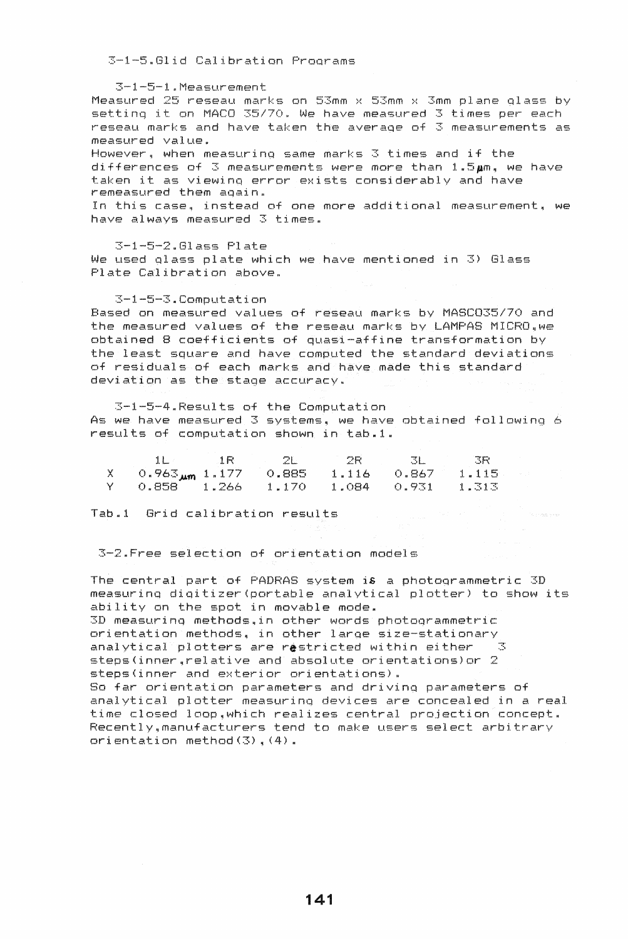3-1-5.Glid Calibration Programs

3-1-5-1.Measurement

Measured 25 reseau marks on 53mm x 53mm x 3mm plane qlass by settinq it on MACO *35/70.* We have measured 3 times per each reseau marks and have taken the averaqe of 3 measurements as measured value. However q when measurinq same marks 3 times and if the

 $d$ ifferences of 3 measurements were more than  $1.5$ Am. we have taken it as viewinq error exists considerably and have remeasured them aaain.

In this case. instead of one more additional measurement, we have always measured 3 times.

 $3-1-5-2.61$  ass  $Plate$ We used qlass plate which we have mentioned in 3) Glass Plate Calibration above.

3-1-5-3"Computation

Based on measured values of reseau marks by MASC035/70 and the measured values of the reseau marks by LAMPAS MICRO.we obtained 8 coefficients of quasi-affine transformation by the least square and have computed the standard deviations of residuals of each marks and have made this standard deviation as the stage accuracy.

3-1-5-4»Results of the Computation As we have measured  $3$  systems, we have obtained following  $6$ results of computation shown in tab.1.

|    |                               | 1 R.    |       | つゆ    |       | 飞险    |
|----|-------------------------------|---------|-------|-------|-------|-------|
|    | $0.963_{\mu m}$ 1.177 $0.885$ |         |       | 1.116 | 0.867 | 1.115 |
| V. | 0.858                         | - 1.266 | 1.170 | 1.084 | 0.931 | 1.313 |

Tab .. 1 Grid calibration results

3-2.Free selection of orientation models

The central part of PADRAS system is a photoqrammetric 3D measurinq diqitizer(portable analytical plotter) to show its ability on the spot in movable mode.

3D measuring methods, in other words photogrammetric orientation methods~ in other larqe size-stationary analytical plotters are restricted within either  $3$ steps(inner,relative and absolute orientations)or 2 steps(inner and exterior orientations).

So far orientation parameters and drivinq parameters of analytical plotter measurinq devices are concealed in a real time closed loop,which realizes central projection concept. Recently~manufacturers tend to make users select arbitrary orientation method  $(3)$ ,  $(4)$ .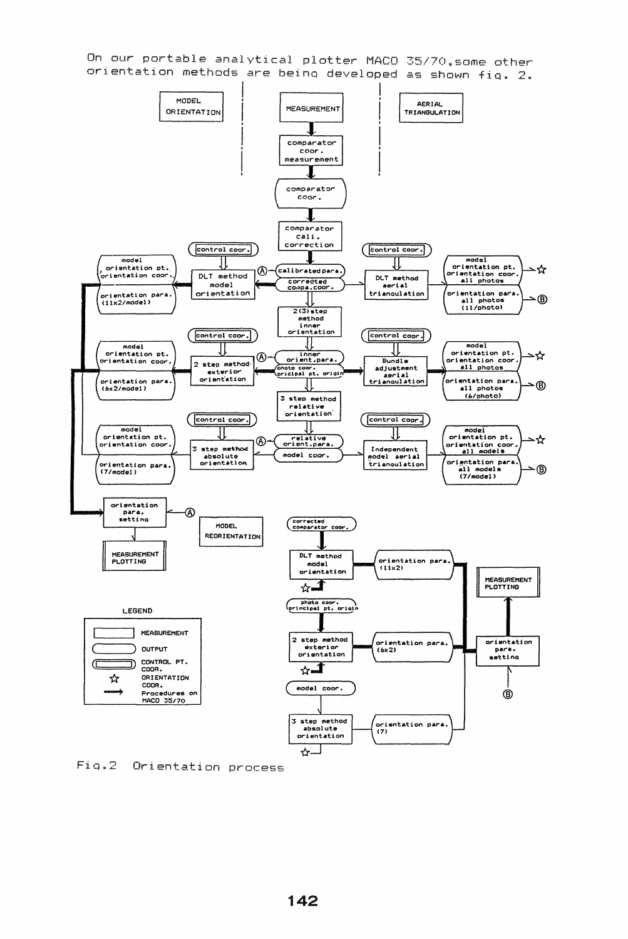On our portable analytical plotter MACO 35/70,some other orientation methods are being developed as shown fig. 2.



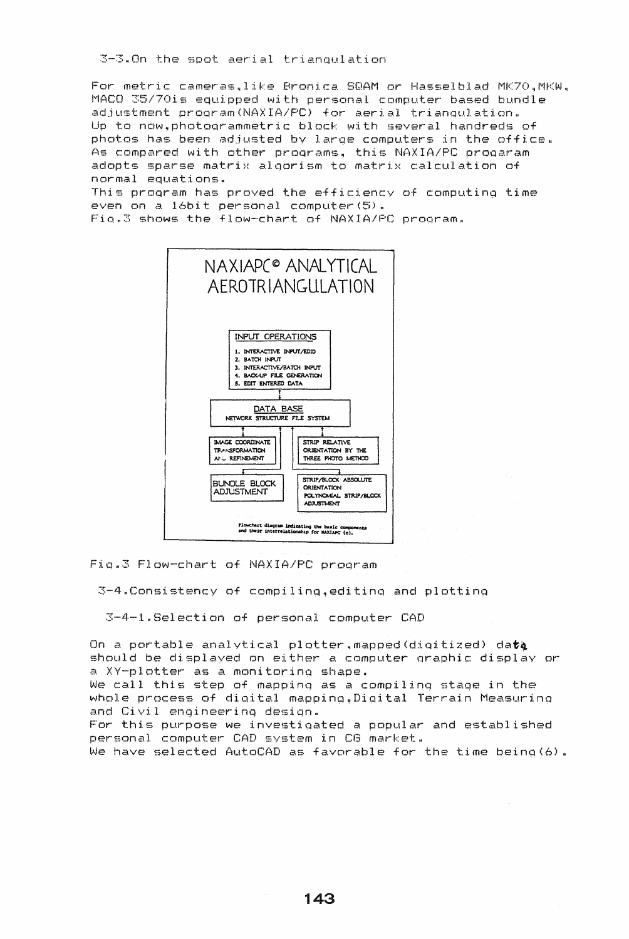3-3.On the spot aerial trianqulation

For metric cameras,like Bronica SQAM or Hasselblad MK70.MKW. MACO 35/70is equipped with personal computer based bundle adjustment program(NAXIA/PC) for aerial triangulation. Up to now, photogrammetric block with several handreds of photos has been adjusted by large computers in the office. As compared with other programs, this NAXIA/PC progaram adopts sparse matrix algorism to matrix calculation of normal equations.

This program has proved the efficiency of computing time even on a 16bit personal computer(5). Fig.3 shows the flow-chart of NAXIA/PC program.



Fig.3 Flow-chart of NAXIA/PC program

 $3-4$ . Consistency of compiling, editing and plotting

3-4-1.Selection of personal computer CAD

On a portable analytical plotter, mapped (digitized) data should be displayed on either a computer graphic display or a XY-plotter as a monitoring shape. We call this step of mapping as a compiling stage in the whole process of digital mapping, Digital Terrain Measuring and Civil engineering design. For this purpose we investigated a popular and established personal computer CAD system in CG market. We have selected AutoCAD as favorable for the time being (6).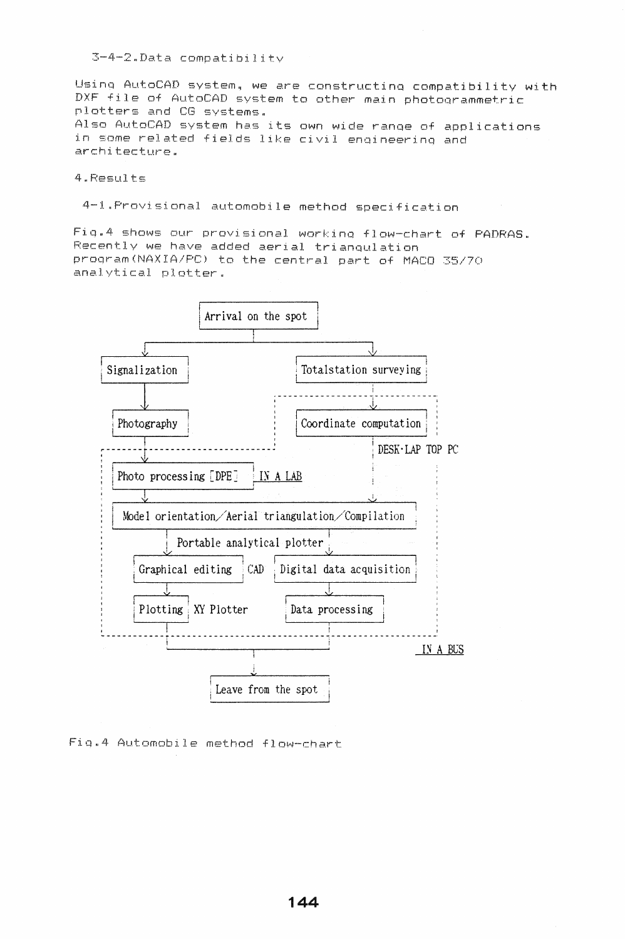$3-4-2$ . Data compatibility

Using AutoCAD system, we are constructing compatibility with DXF file of AutoCAD system to other main photogrammetric plotters and CG systems. Also AutoCAD system has its own wide range of applications in some related fields like civil engineering and architecture.

4.Results

4-1. Provisional automobile method specification

Fig.4 shows our provisional working flow-chart of PADRAS. Recently we have added aerial triangulation program(NAXIA/PC) to the central part of MACO 35/70 analytical plotter.



Fig.4 Automobile method flow-chart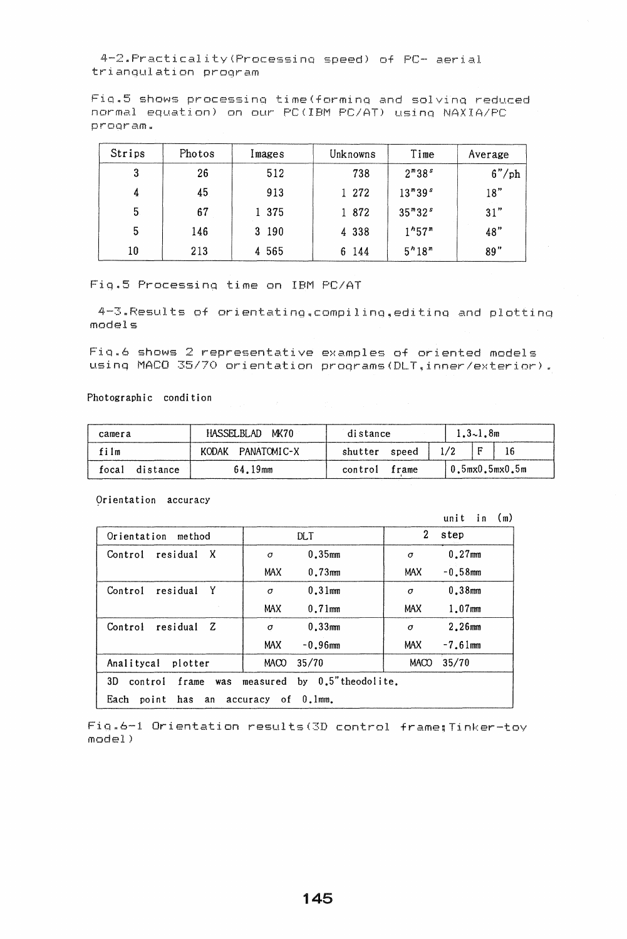4-2.Practicality(Processinq speed) of PC- aerial triangulation program

Fiq.5 shows processing time(forminq and solvino reduced normal equation) on our PC(IBM PC/AT) usinq NAXIA/PC program.

| Strips | Photos | Images  | Unknowns | Time                           | Average |
|--------|--------|---------|----------|--------------------------------|---------|
| 3      | 26     | 512     | 738      | $2^{m}38^{s}$                  | 6''/ph  |
| 4      | 45     | 913     | 1 272    | $13^{m}39^{s}$                 | 18"     |
| 5      | 67     | 1 375   | 1 872    | $35^{m}32^{s}$                 | 31"     |
| 5      | 146    | 3 190   | 4 3 3 8  | 1 <sup>h</sup> 57 <sup>m</sup> | 48"     |
| 10     | 213    | 4 5 6 5 | 6 144    | 5 <sup>n</sup> 18 <sup>m</sup> | 89"     |

Fiqu5 Processinq time on IBM PC/AT

4-3.Results of orientatingqcompilinq,editinq and plottinq models

 $Fig.6$  shows  $2$  representative examples of oriented models using MACO 35/70 orientation programs(DLT.inner/exterior).

Photographic condition

| camera |          | HASSELBLAD MK70   | distance         |  | $1.3 - 1.8$ m              |  |  |
|--------|----------|-------------------|------------------|--|----------------------------|--|--|
| film   |          | KODAK PANATOMIC-X | shutter speed    |  |                            |  |  |
| focal  | distance | 64.19mm           | control<br>frame |  | $10.5$ m $x0.5$ m $x0.5$ m |  |  |

Orientation accuracy

|                                                               |                          | (m)<br>unit<br>i <sub>n</sub> |  |  |
|---------------------------------------------------------------|--------------------------|-------------------------------|--|--|
| Orientation<br>method                                         | <b>DLT</b>               | 2<br>step                     |  |  |
| residual X<br>Control                                         | $0.35$ mm<br>σ           | $0.27$ mm<br>$\sigma$         |  |  |
|                                                               | $0.73$ mm<br><b>MAX</b>  | $-0.58$ mm<br><b>MAX</b>      |  |  |
| Y<br>Control<br>residual                                      | $0.31$ mm<br>$\sigma$    | $0.38$ mm<br>$\sigma$         |  |  |
|                                                               | <b>MAX</b><br>$0.71$ mm  | $1.07$ mm<br><b>MAX</b>       |  |  |
| Control<br>residual<br>Z                                      | 0.33mm<br>$\sigma$       | $2.26$ mm<br>σ                |  |  |
|                                                               | <b>MAX</b><br>$-0.96$ mm | MAX<br>$-7.61$ mm             |  |  |
| Analitycal plotter                                            | 35/70<br><b>MACO</b>     | 35/70<br><b>MACO</b>          |  |  |
| by 0.5" theodolite.<br>3D<br>control frame<br>measured<br>was |                          |                               |  |  |
| has an accuracy of 0.1mm.<br>Each<br>point                    |                          |                               |  |  |

 $Fig.6-1$  Orientation results(3D control frame; Tinker-toy  $model$ )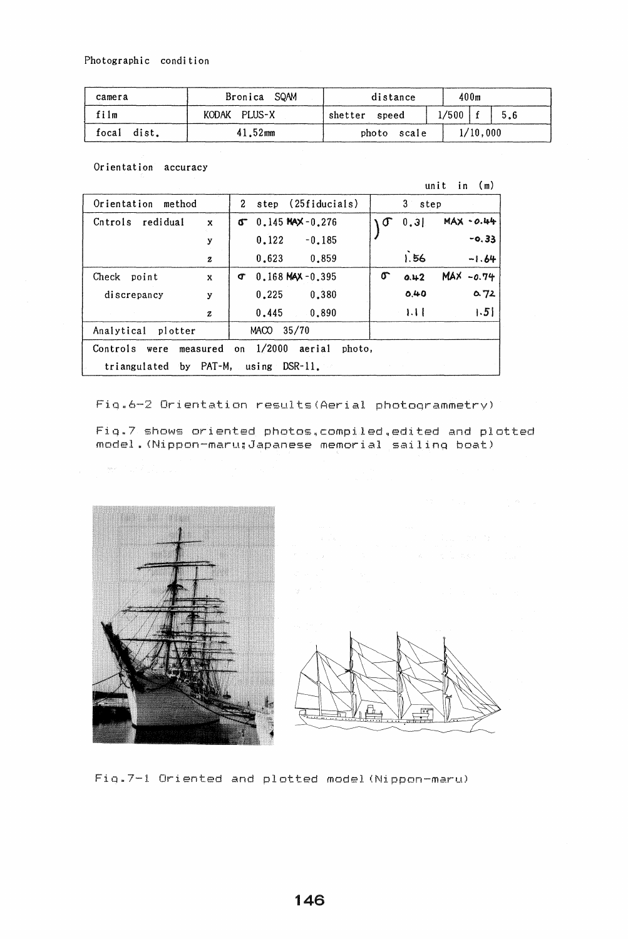| camera                              | Bronica SQAM | distance       | 400m                       |
|-------------------------------------|--------------|----------------|----------------------------|
| film                                | KODAK PLUS-X | shetter speed  | $1/500$   $\degree$<br>5.6 |
| focal dist.<br>$41.52 \, \text{mm}$ |              | photo<br>scale | 1/10.000                   |

Orientation accuracy

unit in  $(m)$ 

| Orientation method                                              |                  | step (25fiducials)<br>$\mathbf{2}$ | 3 step                          |  |
|-----------------------------------------------------------------|------------------|------------------------------------|---------------------------------|--|
| Cntrols redidual                                                | $\mathbf{x}$     | $0.145$ MAX - $0.276$<br>ኖ         | $MAX -0.44$<br>$\sigma$<br>0.31 |  |
|                                                                 | у                | 0.122<br>$-0.185$                  | $-0.33$                         |  |
|                                                                 | $\boldsymbol{z}$ | 0.623<br>0.859                     | 1.56<br>$-1.64$                 |  |
| Check<br>point                                                  | $\mathbf{x}$     | $0.168$ MAX $-0.395$<br>Œ          | $MAX -0.74$<br>σ<br>0.42        |  |
| discrepancy                                                     | у                | 0.380<br>0.225                     | 0.72<br>0.40                    |  |
|                                                                 | $\boldsymbol{z}$ | 0.890<br>0.445                     | $\vert .5 \vert$<br>1.11        |  |
| Analytical plotter                                              |                  | 35/70<br>MACO                      |                                 |  |
| on $1/2000$<br>Controls<br>aerial<br>measured<br>photo,<br>were |                  |                                    |                                 |  |
| triangulated by $PATH,$ using $DSR-11$ ,                        |                  |                                    |                                 |  |

Fig.6-2 Orientation results (Aerial photogrammetry)

Fig.7 shows oriented photos, compiled, edited and plotted model. (Nippon-maru; Japanese memorial sailing boat)



 $\overline{a}$ 

Fig.7-1 Oriented and plotted model (Nippon-maru)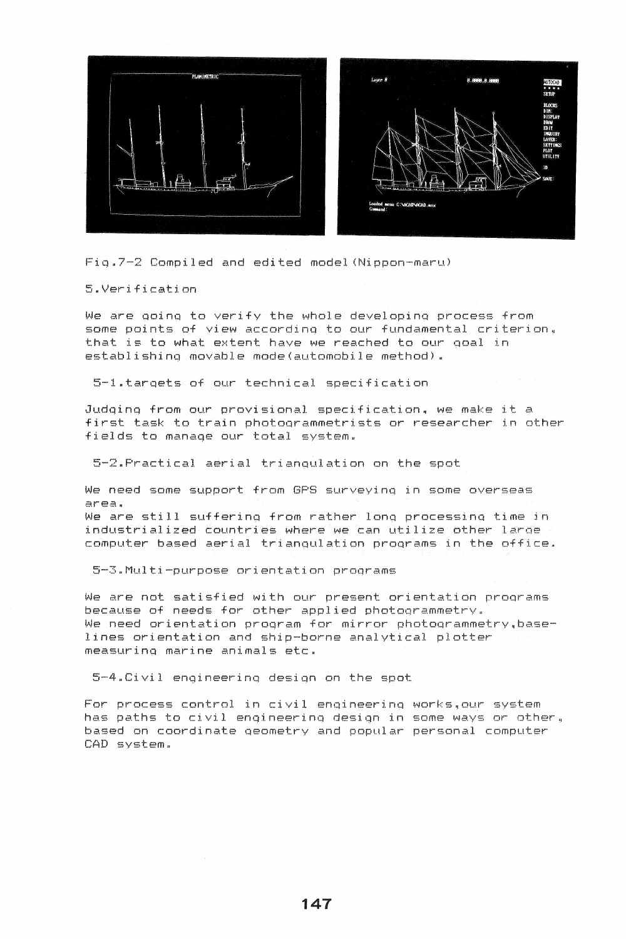

Fiq.7-2 Compiled and edited model (Nippon-maru)

5nVerification

We are aoinq to verify the whole developina process from some points of view according to our fundamental criterion. that is to what extent have we reached to our qoal in establishing movable mode(automobile method).

5-1.tarqets of our technical specification

Judqing from our provisional specification, we make it a first task to train photoarammetrists or researcher in other fields to manage our total system.

5-2.Practical aerial trianaulation on the spot

We need some support from GPS surveyinq in some overseas area. We are still suffering from rather long processing time in industrialized countries where we can utilize other larqe computer based aerial trianaulation proqrams in the office.

5-3.Multi-purpose orientation proqrams

We are not satisfied with our present orientation proqrams because of needs for other applied photoqrammetry. We need orientation program for mirror photogrammetry.baselines orientation and ship-borne analytical plotter measurina marine animals etc.

5-4.Civil enqineerinq design on the spot

For process control in civil enqineerinq works.our system has paths to civil engineerinq design in some ways or other <sup>q</sup> based on coordinate geometry and popular personal computer CAD system.